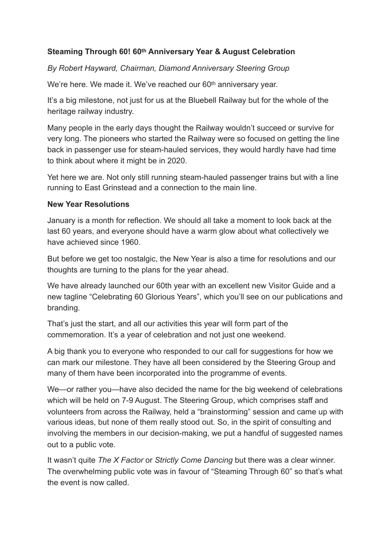## **Steaming Through 60! 60th Anniversary Year & August Celebration**

*By Robert Hayward, Chairman, Diamond Anniversary Steering Group* 

We're here. We made it. We've reached our 60<sup>th</sup> anniversary year.

It's a big milestone, not just for us at the Bluebell Railway but for the whole of the heritage railway industry.

Many people in the early days thought the Railway wouldn't succeed or survive for very long. The pioneers who started the Railway were so focused on getting the line back in passenger use for steam-hauled services, they would hardly have had time to think about where it might be in 2020.

Yet here we are. Not only still running steam-hauled passenger trains but with a line running to East Grinstead and a connection to the main line.

#### **New Year Resolutions**

January is a month for reflection. We should all take a moment to look back at the last 60 years, and everyone should have a warm glow about what collectively we have achieved since 1960.

But before we get too nostalgic, the New Year is also a time for resolutions and our thoughts are turning to the plans for the year ahead.

We have already launched our 60th year with an excellent new Visitor Guide and a new tagline "Celebrating 60 Glorious Years", which you'll see on our publications and branding.

That's just the start, and all our activities this year will form part of the commemoration. It's a year of celebration and not just one weekend.

A big thank you to everyone who responded to our call for suggestions for how we can mark our milestone. They have all been considered by the Steering Group and many of them have been incorporated into the programme of events.

We—or rather you—have also decided the name for the big weekend of celebrations which will be held on 7-9 August. The Steering Group, which comprises staff and volunteers from across the Railway, held a "brainstorming" session and came up with various ideas, but none of them really stood out. So, in the spirit of consulting and involving the members in our decision-making, we put a handful of suggested names out to a public vote.

It wasn't quite *The X Factor* or *Strictly Come Dancing* but there was a clear winner. The overwhelming public vote was in favour of "Steaming Through 60" so that's what the event is now called.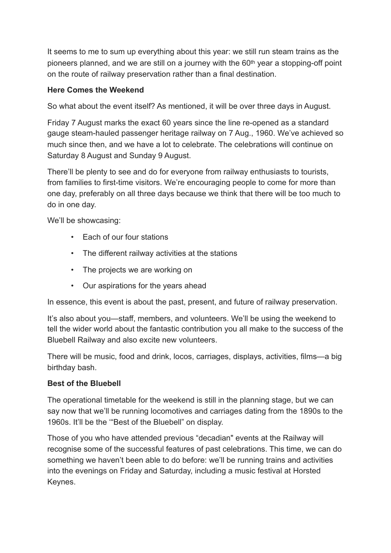It seems to me to sum up everything about this year: we still run steam trains as the pioneers planned, and we are still on a journey with the 60<sup>th</sup> year a stopping-off point on the route of railway preservation rather than a final destination.

## **Here Comes the Weekend**

So what about the event itself? As mentioned, it will be over three days in August.

Friday 7 August marks the exact 60 years since the line re-opened as a standard gauge steam-hauled passenger heritage railway on 7 Aug., 1960. We've achieved so much since then, and we have a lot to celebrate. The celebrations will continue on Saturday 8 August and Sunday 9 August.

There'll be plenty to see and do for everyone from railway enthusiasts to tourists, from families to first-time visitors. We're encouraging people to come for more than one day, preferably on all three days because we think that there will be too much to do in one day.

We'll be showcasing:

- Each of our four stations
- The different railway activities at the stations
- The projects we are working on
- Our aspirations for the years ahead

In essence, this event is about the past, present, and future of railway preservation.

It's also about you—staff, members, and volunteers. We'll be using the weekend to tell the wider world about the fantastic contribution you all make to the success of the Bluebell Railway and also excite new volunteers.

There will be music, food and drink, locos, carriages, displays, activities, films—a big birthday bash.

### **Best of the Bluebell**

The operational timetable for the weekend is still in the planning stage, but we can say now that we'll be running locomotives and carriages dating from the 1890s to the 1960s. It'll be the '"Best of the Bluebell" on display.

Those of you who have attended previous "decadian" events at the Railway will recognise some of the successful features of past celebrations. This time, we can do something we haven't been able to do before: we'll be running trains and activities into the evenings on Friday and Saturday, including a music festival at Horsted Keynes.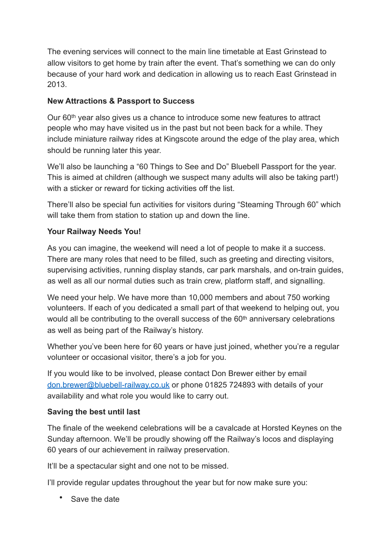The evening services will connect to the main line timetable at East Grinstead to allow visitors to get home by train after the event. That's something we can do only because of your hard work and dedication in allowing us to reach East Grinstead in 2013.

## **New Attractions & Passport to Success**

Our 60th year also gives us a chance to introduce some new features to attract people who may have visited us in the past but not been back for a while. They include miniature railway rides at Kingscote around the edge of the play area, which should be running later this year.

We'll also be launching a "60 Things to See and Do" Bluebell Passport for the year. This is aimed at children (although we suspect many adults will also be taking part!) with a sticker or reward for ticking activities off the list.

There'll also be special fun activities for visitors during "Steaming Through 60" which will take them from station to station up and down the line.

# **Your Railway Needs You!**

As you can imagine, the weekend will need a lot of people to make it a success. There are many roles that need to be filled, such as greeting and directing visitors, supervising activities, running display stands, car park marshals, and on-train guides, as well as all our normal duties such as train crew, platform staff, and signalling.

We need your help. We have more than 10,000 members and about 750 working volunteers. If each of you dedicated a small part of that weekend to helping out, you would all be contributing to the overall success of the 60<sup>th</sup> anniversary celebrations as well as being part of the Railway's history.

Whether you've been here for 60 years or have just joined, whether you're a regular volunteer or occasional visitor, there's a job for you.

If you would like to be involved, please contact Don Brewer either by email [don.brewer@bluebell-railway.co.uk](mailto:don.brewer@bluebell-railway.co.uk) or phone 01825 724893 with details of your availability and what role you would like to carry out.

## **Saving the best until last**

The finale of the weekend celebrations will be a cavalcade at Horsted Keynes on the Sunday afternoon. We'll be proudly showing off the Railway's locos and displaying 60 years of our achievement in railway preservation.

It'll be a spectacular sight and one not to be missed.

I'll provide regular updates throughout the year but for now make sure you:

• Save the date